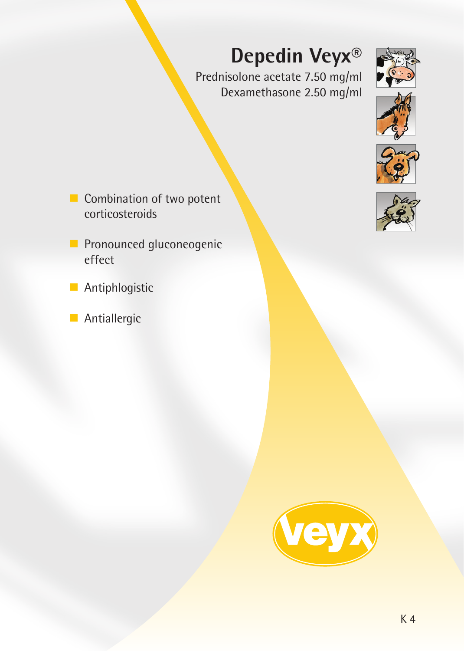# **Depedin Veyx®**

Prednisolone acetate 7.50 mg/ml Dexamethasone 2.50 mg/ml



- **Pronounced gluconeogenic** effect
- **Antiphlogistic**
- **Antiallergic**







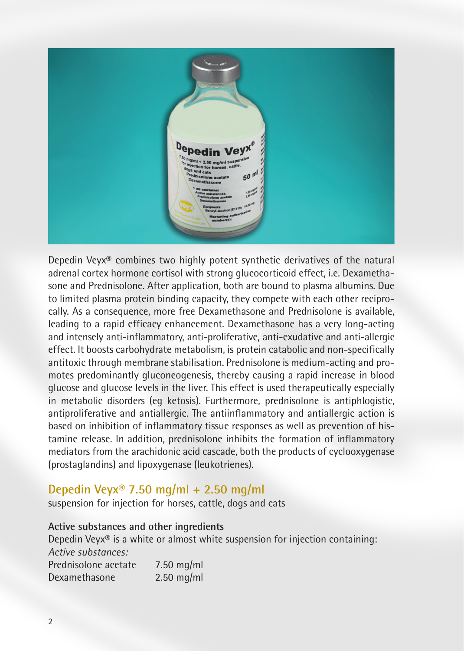

Depedin Veyx® combines two highly potent synthetic derivatives of the natural adrenal cortex hormone cortisol with strong glucocorticoid effect, i.e. Dexamethasone and Prednisolone. After application, both are bound to plasma albumins. Due to limited plasma protein binding capacity, they compete with each other reciprocally. As a consequence, more free Dexamethasone and Prednisolone is available, leading to a rapid efficacy enhancement. Dexamethasone has a very long-acting and intensely anti-inflammatory, anti-proliferative, anti-exudative and anti-allergic effect. It boosts carbohydrate metabolism, is protein catabolic and non-specifically antitoxic through membrane stabilisation. Prednisolone is medium-acting and promotes predominantly gluconeogenesis, thereby causing a rapid increase in blood glucose and glucose levels in the liver. This effect is used therapeutically especially in metabolic disorders (eg ketosis). Furthermore, prednisolone is antiphlogistic, antiproliferative and antiallergic. The antiinflammatory and antiallergic action is based on inhibition of inflammatory tissue responses as well as prevention of histamine release. In addition, prednisolone inhibits the formation of inflammatory mediators from the arachidonic acid cascade, both the products of cyclooxygenase (prostaglandins) and lipoxygenase (leukotrienes).

# **Depedin Veyx® 7.50 mg/ml + 2.50 mg/ml**

suspension for injection for horses, cattle, dogs and cats

#### **Active substances and other ingredients**

Depedin Veyx® is a white or almost white suspension for injection containing: *Active substances:* Prednisolone acetate 7.50 mg/ml

Dexamethasone 2.50 mg/ml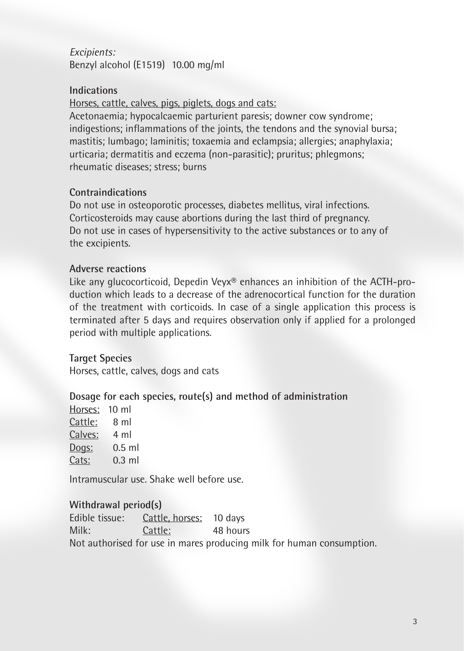## *Excipients:* Benzyl alcohol (E1519) 10.00 mg/ml

#### **Indications**

Horses, cattle, calves, pigs, piglets, dogs and cats:

Acetonaemia; hypocalcaemic parturient paresis; downer cow syndrome; indigestions; inflammations of the joints, the tendons and the synovial bursa; mastitis; lumbago; laminitis; toxaemia and eclampsia; allergies; anaphylaxia; urticaria; dermatitis and eczema (non-parasitic); pruritus; phlegmons; rheumatic diseases; stress; burns

#### **Contraindications**

Do not use in osteoporotic processes, diabetes mellitus, viral infections. Corticosteroids may cause abortions during the last third of pregnancy. Do not use in cases of hypersensitivity to the active substances or to any of the excipients.

#### **Adverse reactions**

Like any glucocorticoid, Depedin Veyx® enhances an inhibition of the ACTH-production which leads to a decrease of the adrenocortical function for the duration of the treatment with corticoids. In case of a single application this process is terminated after 5 days and requires observation only if applied for a prolonged period with multiple applications.

**Target Species** Horses, cattle, calves, dogs and cats

#### **Dosage for each species, route(s) and method of administration**

| Horses:      | 10 ml    |
|--------------|----------|
| Cattle:      | 8 ml     |
| Calves:      | 4 ml     |
| Dogs:        | $0.5$ ml |
| <u>Cats:</u> | $0.3$ ml |

Intramuscular use. Shake well before use.

#### **Withdrawal period(s)**

Edible tissue: Cattle, horses: 10 days Milk: Cattle: 48 hours Not authorised for use in mares producing milk for human consumption.